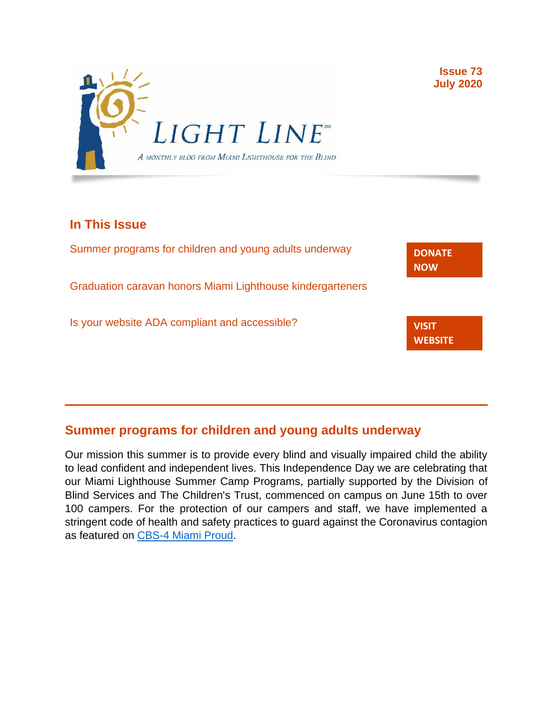

# **In This Issue**

| Summer programs for children and young adults underway     | <b>DONATE</b><br><b>NOW</b>    |
|------------------------------------------------------------|--------------------------------|
| Graduation caravan honors Miami Lighthouse kindergarteners |                                |
| Is your website ADA compliant and accessible?              | <b>VISIT</b><br><b>WEBSITE</b> |

**Issue 73 July 2020**

## **Summer programs for children and young adults underway**

Our mission this summer is to provide every blind and visually impaired child the ability to lead confident and independent lives. This Independence Day we are celebrating that our Miami Lighthouse Summer Camp Programs, partially supported by the Division of Blind Services and The Children's Trust, commenced on campus on June 15th to over 100 campers. For the protection of our campers and staff, we have implemented a stringent code of health and safety practices to guard against the Coronavirus contagion as featured on [CBS-4 Miami Proud.](https://miami.cbslocal.com/2020/06/25/miami-proud-miami-lighthouse-for-blind-summer-program-teaches-tackles-social-distancing-guidelines/)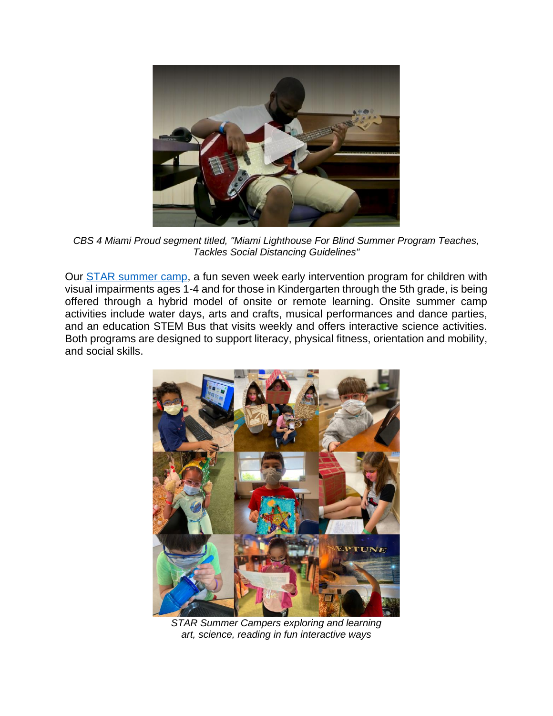

*CBS 4 Miami Proud segment titled, "Miami Lighthouse For Blind Summer Program Teaches, Tackles Social Distancing Guidelines"*

Our [STAR summer camp,](http://www.miamilighthouse.org/ChildrenServices.asp) a fun seven week early intervention program for children with visual impairments ages 1-4 and for those in Kindergarten through the 5th grade, is being offered through a hybrid model of onsite or remote learning. Onsite summer camp activities include water days, arts and crafts, musical performances and dance parties, and an education STEM Bus that visits weekly and offers interactive science activities. Both programs are designed to support literacy, physical fitness, orientation and mobility, and social skills.



*STAR Summer Campers exploring and learning art, science, reading in fun interactive ways*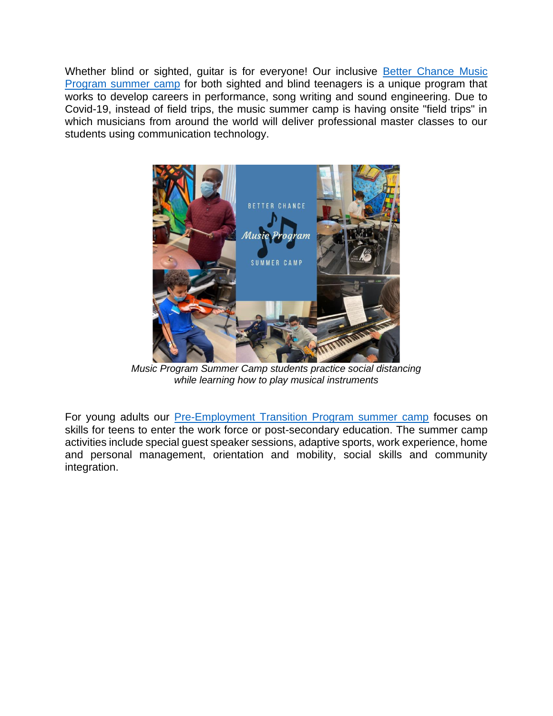Whether blind or sighted, guitar is for everyone! Our inclusive **Better Chance Music** [Program summer camp](http://www.miamilighthouse.org/Music_Program.asp) for both sighted and blind teenagers is a unique program that works to develop careers in performance, song writing and sound engineering. Due to Covid-19, instead of field trips, the music summer camp is having onsite "field trips" in which musicians from around the world will deliver professional master classes to our students using communication technology.



*Music Program Summer Camp students practice social distancing while learning how to play musical instruments*

For young adults our [Pre-Employment Transition Program summer camp](http://www.miamilighthouse.org/TransitionProgram.asp) focuses on skills for teens to enter the work force or post-secondary education. The summer camp activities include special guest speaker sessions, adaptive sports, work experience, home and personal management, orientation and mobility, social skills and community integration.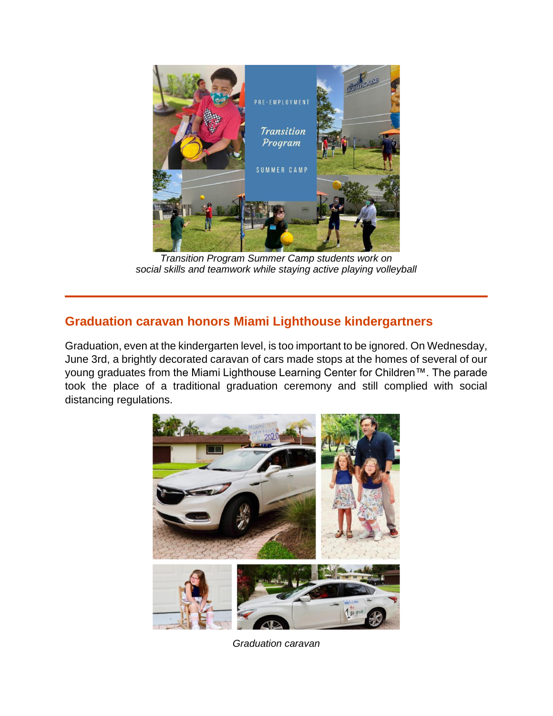

*Transition Program Summer Camp students work on social skills and teamwork while staying active playing volleyball*

# **Graduation caravan honors Miami Lighthouse kindergartners**

Graduation, even at the kindergarten level, is too important to be ignored. On Wednesday, June 3rd, a brightly decorated caravan of cars made stops at the homes of several of our young graduates from the Miami Lighthouse Learning Center for Children™. The parade took the place of a traditional graduation ceremony and still complied with social distancing regulations.



*Graduation caravan*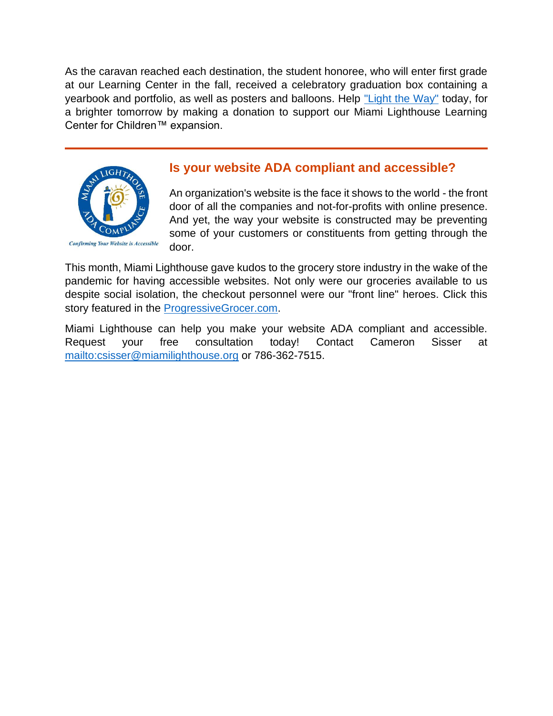As the caravan reached each destination, the student honoree, who will enter first grade at our Learning Center in the fall, received a celebratory graduation box containing a yearbook and portfolio, as well as posters and balloons. Help ["Light the Way"](https://secure.miamilighthouse.org/Donations.asp?utm_source=July+2020+Lightline+&utm_campaign=June+2020+Light+Line+&utm_medium=email) today, for a brighter tomorrow by making a donation to support our Miami Lighthouse Learning Center for Children™ expansion.



### **Is your website ADA compliant and accessible?**

An organization's website is the face it shows to the world - the front door of all the companies and not-for-profits with online presence. And yet, the way your website is constructed may be preventing some of your customers or constituents from getting through the door.

This month, Miami Lighthouse gave kudos to the grocery store industry in the wake of the pandemic for having accessible websites. Not only were our groceries available to us despite social isolation, the checkout personnel were our "front line" heroes. Click this story featured in the [ProgressiveGrocer.com.](https://progressivegrocer.com/publix-scores-high-online-accessibility?utm_source=July+2020+Lightline+&utm_campaign=June+2020+Light+Line+&utm_medium=email)

Miami Lighthouse can help you make your website ADA compliant and accessible. Request your free consultation today! Contact Cameron Sisser at <mailto:csisser@miamilighthouse.org> or 786-362-7515.